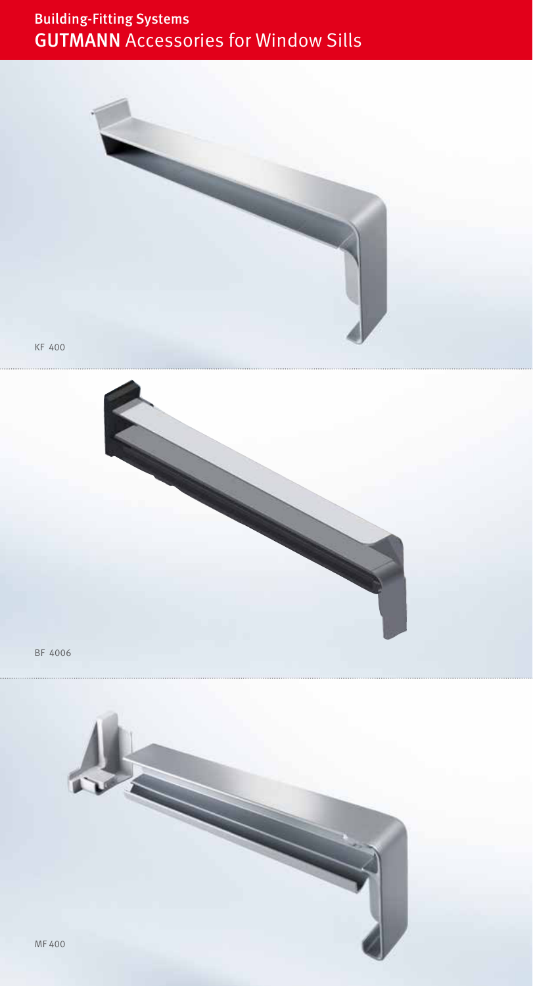# Building-Fitting Systems GUTMANN Accessories for Window Sills



KF 400



BF 4006

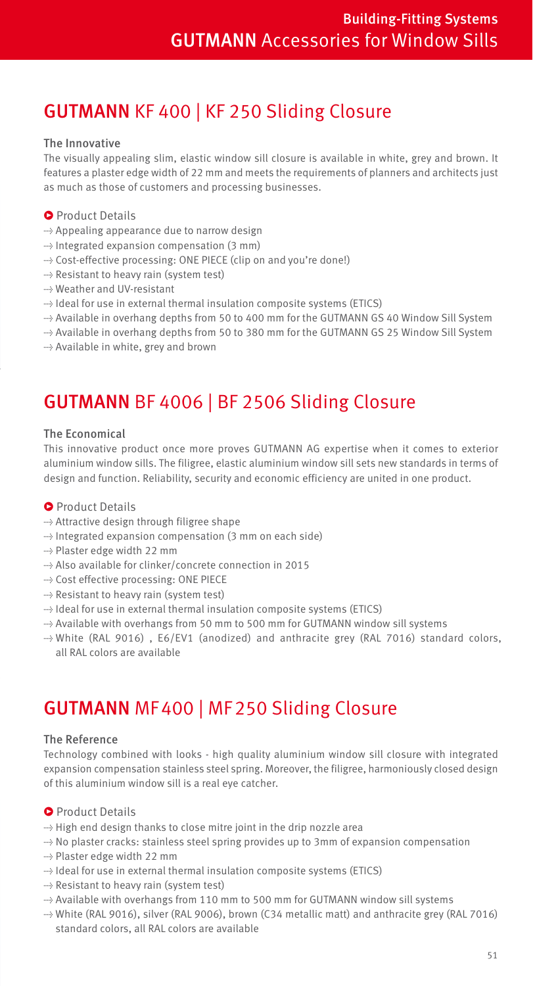# GUTMANN KF 400 | KF 250 Sliding Closure

### The Innovative

The visually appealing slim, elastic window sill closure is available in white, grey and brown. It features a plaster edge width of 22 mm and meets the requirements of planners and architects just as much as those of customers and processing businesses.

### **•** Product Details

- → Appealing appearance due to narrow design
- → Integrated expansion compensation (3 mm)
- → Cost-effective processing: ONE PIECE (clip on and you're done!)
- → Resistant to heavy rain (system test)
- → Weather and UV-resistant
- → Ideal for use in external thermal insulation composite systems (ETICS)
- → Available in overhang depths from 50 to 400 mm for the GUTMANN GS 40 Window Sill System
- → Available in overhang depths from 50 to 380 mm for the GUTMANN GS 25 Window Sill System
- → Available in white, grey and brown

# GUTMANN BF 4006 | BF 2506 Sliding Closure

#### The Economical

This innovative product once more proves GUTMANN AG expertise when it comes to exterior aluminium window sills. The filigree, elastic aluminium window sill sets new standards in terms of design and function. Reliability, security and economic efficiency are united in one product.

### **•** Product Details

- → Attractive design through filigree shape
- → Integrated expansion compensation (3 mm on each side)
- → Plaster edge width 22 mm
- → Also available for clinker/concrete connection in 2015
- → Cost effective processing: ONE PIECE
- → Resistant to heavy rain (system test)
- → Ideal for use in external thermal insulation composite systems (ETICS)
- → Available with overhangs from 50 mm to 500 mm for GUTMANN window sill systems
- → White (RAL 9016) , E6/EV1 (anodized) and anthracite grey (RAL 7016) standard colors, all RAL colors are available

# GUTMANN MF 400 | MF 250 Sliding Closure

#### The Reference

Technology combined with looks - high quality aluminium window sill closure with integrated expansion compensation stainless steel spring. Moreover, the filigree, harmoniously closed design of this aluminium window sill is a real eye catcher.

#### **•** Product Details

- → High end design thanks to close mitre joint in the drip nozzle area
- → No plaster cracks: stainless steel spring provides up to 3mm of expansion compensation
- → Plaster edge width 22 mm
- → Ideal for use in external thermal insulation composite systems (ETICS)
- → Resistant to heavy rain (system test)
- → Available with overhangs from 110 mm to 500 mm for GUTMANN window sill systems
- → White (RAL 9016), silver (RAL 9006), brown (C34 metallic matt) and anthracite grey (RAL 7016) standard colors, all RAL colors are available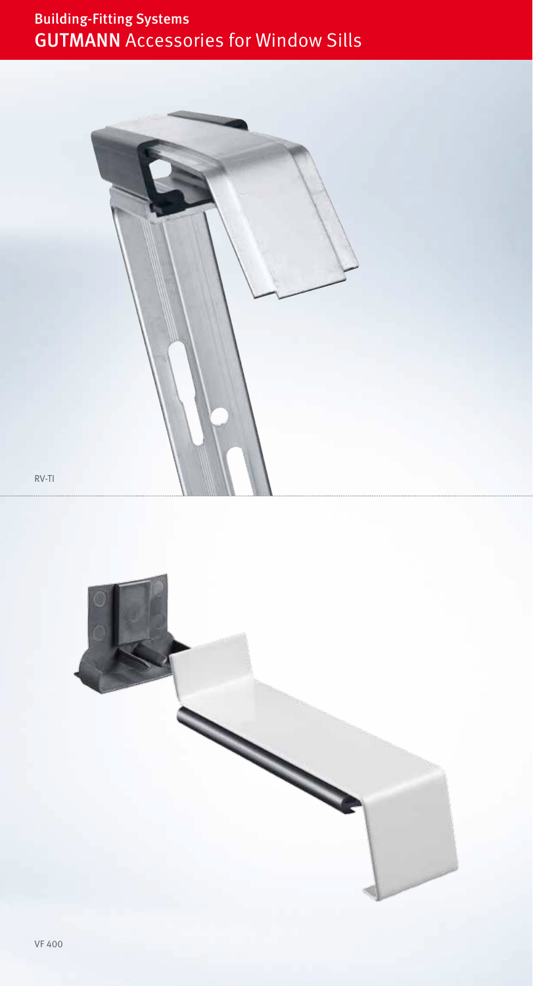# Building-Fitting Systems GUTMANN Accessories for Window Sills